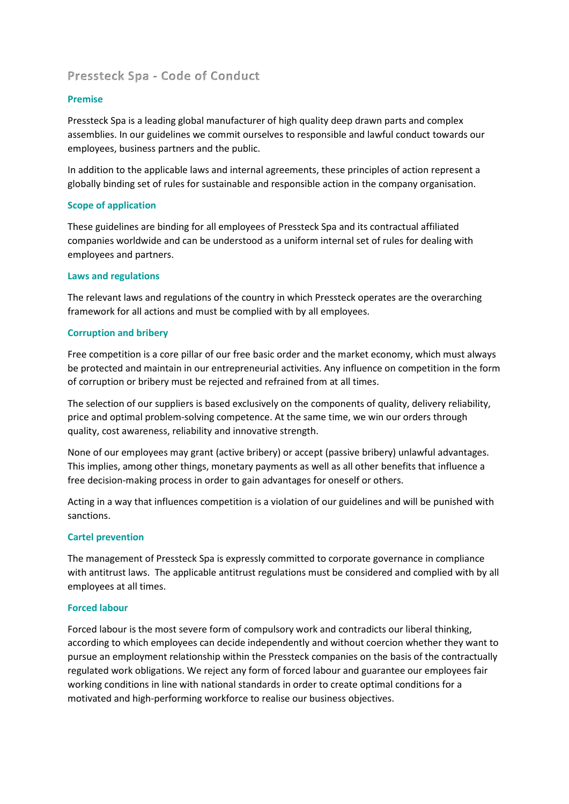# **Pressteck Spa - Code of Conduct**

## **Premise**

Pressteck Spa is a leading global manufacturer of high quality deep drawn parts and complex assemblies. In our guidelines we commit ourselves to responsible and lawful conduct towards our employees, business partners and the public.

In addition to the applicable laws and internal agreements, these principles of action represent a globally binding set of rules for sustainable and responsible action in the company organisation.

## **Scope of application**

These guidelines are binding for all employees of Pressteck Spa and its contractual affiliated companies worldwide and can be understood as a uniform internal set of rules for dealing with employees and partners.

## **Laws and regulations**

The relevant laws and regulations of the country in which Pressteck operates are the overarching framework for all actions and must be complied with by all employees.

## **Corruption and bribery**

Free competition is a core pillar of our free basic order and the market economy, which must always be protected and maintain in our entrepreneurial activities. Any influence on competition in the form of corruption or bribery must be rejected and refrained from at all times.

The selection of our suppliers is based exclusively on the components of quality, delivery reliability, price and optimal problem-solving competence. At the same time, we win our orders through quality, cost awareness, reliability and innovative strength.

None of our employees may grant (active bribery) or accept (passive bribery) unlawful advantages. This implies, among other things, monetary payments as well as all other benefits that influence a free decision-making process in order to gain advantages for oneself or others.

Acting in a way that influences competition is a violation of our guidelines and will be punished with sanctions.

## **Cartel prevention**

The management of Pressteck Spa is expressly committed to corporate governance in compliance with antitrust laws. The applicable antitrust regulations must be considered and complied with by all employees at all times.

## **Forced labour**

Forced labour is the most severe form of compulsory work and contradicts our liberal thinking, according to which employees can decide independently and without coercion whether they want to pursue an employment relationship within the Pressteck companies on the basis of the contractually regulated work obligations. We reject any form of forced labour and guarantee our employees fair working conditions in line with national standards in order to create optimal conditions for a motivated and high-performing workforce to realise our business objectives.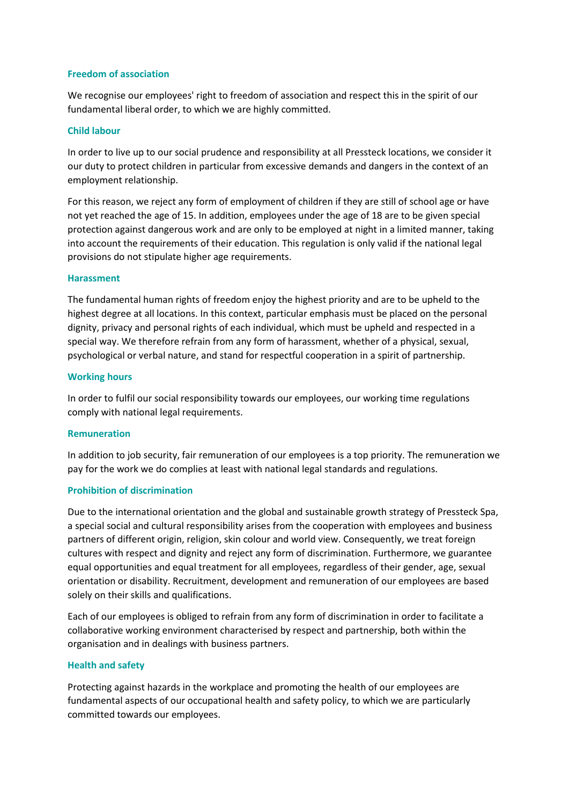## **Freedom of association**

We recognise our employees' right to freedom of association and respect this in the spirit of our fundamental liberal order, to which we are highly committed.

#### **Child labour**

In order to live up to our social prudence and responsibility at all Pressteck locations, we consider it our duty to protect children in particular from excessive demands and dangers in the context of an employment relationship.

For this reason, we reject any form of employment of children if they are still of school age or have not yet reached the age of 15. In addition, employees under the age of 18 are to be given special protection against dangerous work and are only to be employed at night in a limited manner, taking into account the requirements of their education. This regulation is only valid if the national legal provisions do not stipulate higher age requirements.

#### **Harassment**

The fundamental human rights of freedom enjoy the highest priority and are to be upheld to the highest degree at all locations. In this context, particular emphasis must be placed on the personal dignity, privacy and personal rights of each individual, which must be upheld and respected in a special way. We therefore refrain from any form of harassment, whether of a physical, sexual, psychological or verbal nature, and stand for respectful cooperation in a spirit of partnership.

#### **Working hours**

In order to fulfil our social responsibility towards our employees, our working time regulations comply with national legal requirements.

#### **Remuneration**

In addition to job security, fair remuneration of our employees is a top priority. The remuneration we pay for the work we do complies at least with national legal standards and regulations.

## **Prohibition of discrimination**

Due to the international orientation and the global and sustainable growth strategy of Pressteck Spa, a special social and cultural responsibility arises from the cooperation with employees and business partners of different origin, religion, skin colour and world view. Consequently, we treat foreign cultures with respect and dignity and reject any form of discrimination. Furthermore, we guarantee equal opportunities and equal treatment for all employees, regardless of their gender, age, sexual orientation or disability. Recruitment, development and remuneration of our employees are based solely on their skills and qualifications.

Each of our employees is obliged to refrain from any form of discrimination in order to facilitate a collaborative working environment characterised by respect and partnership, both within the organisation and in dealings with business partners.

## **Health and safety**

Protecting against hazards in the workplace and promoting the health of our employees are fundamental aspects of our occupational health and safety policy, to which we are particularly committed towards our employees.